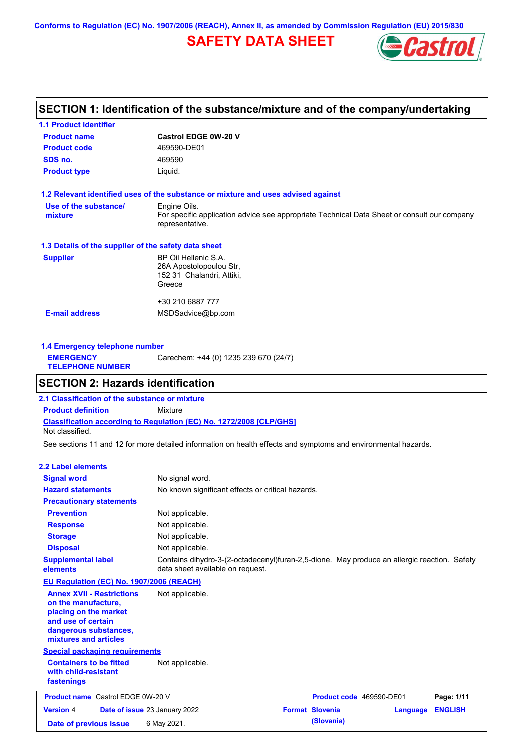**Conforms to Regulation (EC) No. 1907/2006 (REACH), Annex II, as amended by Commission Regulation (EU) 2015/830**

# **SAFETY DATA SHEET**



# **SECTION 1: Identification of the substance/mixture and of the company/undertaking**

| <b>1.1 Product identifier</b>                        |                                                                                                                |  |  |  |
|------------------------------------------------------|----------------------------------------------------------------------------------------------------------------|--|--|--|
| <b>Product name</b>                                  | <b>Castrol EDGE 0W-20 V</b>                                                                                    |  |  |  |
| <b>Product code</b>                                  | 469590-DE01                                                                                                    |  |  |  |
| SDS no.                                              | 469590                                                                                                         |  |  |  |
| <b>Product type</b>                                  | Liquid.                                                                                                        |  |  |  |
|                                                      | 1.2 Relevant identified uses of the substance or mixture and uses advised against                              |  |  |  |
| Use of the substance/                                | Engine Oils.                                                                                                   |  |  |  |
| mixture                                              | For specific application advice see appropriate Technical Data Sheet or consult our company<br>representative. |  |  |  |
| 1.3 Details of the supplier of the safety data sheet |                                                                                                                |  |  |  |
| <b>Supplier</b>                                      | BP Oil Hellenic S.A.                                                                                           |  |  |  |
|                                                      | 26A Apostolopoulou Str.                                                                                        |  |  |  |
|                                                      | 152 31 Chalandri, Attiki,                                                                                      |  |  |  |
|                                                      | Greece                                                                                                         |  |  |  |
|                                                      | +30 210 6887 777                                                                                               |  |  |  |
| <b>E-mail address</b>                                | MSDSadvice@bp.com                                                                                              |  |  |  |
|                                                      |                                                                                                                |  |  |  |
|                                                      |                                                                                                                |  |  |  |

| 1.4 Emergency telephone number              |                                       |  |  |  |
|---------------------------------------------|---------------------------------------|--|--|--|
| <b>EMERGENCY</b><br><b>TELEPHONE NUMBER</b> | Carechem: +44 (0) 1235 239 670 (24/7) |  |  |  |

# **SECTION 2: Hazards identification**

**Classification according to Regulation (EC) No. 1272/2008 [CLP/GHS] 2.1 Classification of the substance or mixture Product definition** Mixture Not classified.

See sections 11 and 12 for more detailed information on health effects and symptoms and environmental hazards.

### **2.2 Label elements**

| <b>Signal word</b><br><b>Hazard statements</b>                                                                                                           | No signal word.<br>No known significant effects or critical hazards.                                                            |                        |                          |                |
|----------------------------------------------------------------------------------------------------------------------------------------------------------|---------------------------------------------------------------------------------------------------------------------------------|------------------------|--------------------------|----------------|
| <b>Precautionary statements</b>                                                                                                                          |                                                                                                                                 |                        |                          |                |
| <b>Prevention</b>                                                                                                                                        | Not applicable.                                                                                                                 |                        |                          |                |
| <b>Response</b>                                                                                                                                          | Not applicable.                                                                                                                 |                        |                          |                |
| <b>Storage</b>                                                                                                                                           | Not applicable.                                                                                                                 |                        |                          |                |
| <b>Disposal</b>                                                                                                                                          | Not applicable.                                                                                                                 |                        |                          |                |
| <b>Supplemental label</b><br>elements                                                                                                                    | Contains dihydro-3-(2-octadecenyl)furan-2,5-dione. May produce an allergic reaction. Safety<br>data sheet available on request. |                        |                          |                |
| EU Regulation (EC) No. 1907/2006 (REACH)                                                                                                                 |                                                                                                                                 |                        |                          |                |
| <b>Annex XVII - Restrictions</b><br>on the manufacture.<br>placing on the market<br>and use of certain<br>dangerous substances,<br>mixtures and articles | Not applicable.                                                                                                                 |                        |                          |                |
| <b>Special packaging requirements</b>                                                                                                                    |                                                                                                                                 |                        |                          |                |
| <b>Containers to be fitted</b><br>with child-resistant<br>fastenings                                                                                     | Not applicable.                                                                                                                 |                        |                          |                |
| <b>Product name</b> Castrol EDGE 0W-20 V                                                                                                                 |                                                                                                                                 |                        | Product code 469590-DE01 | Page: 1/11     |
| <b>Version 4</b>                                                                                                                                         | Date of issue 23 January 2022                                                                                                   | <b>Format Slovenia</b> | Language                 | <b>ENGLISH</b> |
| Date of previous issue                                                                                                                                   | 6 May 2021.                                                                                                                     | (Slovania)             |                          |                |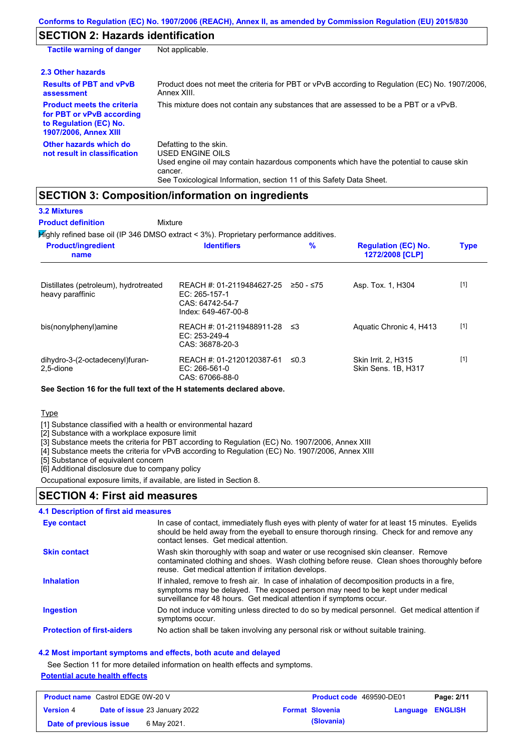# **SECTION 2: Hazards identification**

| <b>Tactile warning of danger</b>                                                                                         | Not applicable.                                                                                                                                                                                                          |
|--------------------------------------------------------------------------------------------------------------------------|--------------------------------------------------------------------------------------------------------------------------------------------------------------------------------------------------------------------------|
| 2.3 Other hazards                                                                                                        |                                                                                                                                                                                                                          |
| <b>Results of PBT and vPvB</b><br>assessment                                                                             | Product does not meet the criteria for PBT or vPvB according to Regulation (EC) No. 1907/2006,<br>Annex XIII.                                                                                                            |
| <b>Product meets the criteria</b><br>for PBT or vPvB according<br>to Regulation (EC) No.<br><b>1907/2006, Annex XIII</b> | This mixture does not contain any substances that are assessed to be a PBT or a vPvB.                                                                                                                                    |
| Other hazards which do<br>not result in classification                                                                   | Defatting to the skin.<br>USED ENGINE OILS<br>Used engine oil may contain hazardous components which have the potential to cause skin<br>cancer.<br>See Toxicological Information, section 11 of this Safety Data Sheet. |

## **SECTION 3: Composition/information on ingredients**

| <b>3.2 Mixtures</b>                                                                    |                                                                                        |             |                                                      |             |
|----------------------------------------------------------------------------------------|----------------------------------------------------------------------------------------|-------------|------------------------------------------------------|-------------|
| <b>Product definition</b>                                                              | Mixture                                                                                |             |                                                      |             |
| Mighly refined base oil (IP 346 DMSO extract < 3%). Proprietary performance additives. |                                                                                        |             |                                                      |             |
| <b>Product/ingredient</b><br>name                                                      | <b>Identifiers</b>                                                                     | $\%$        | <b>Regulation (EC) No.</b><br><b>1272/2008 [CLP]</b> | <b>Type</b> |
| Distillates (petroleum), hydrotreated<br>heavy paraffinic                              | REACH #: 01-2119484627-25<br>$EC: 265-157-1$<br>CAS: 64742-54-7<br>Index: 649-467-00-8 | $≥50 - ≤75$ | Asp. Tox. 1, H304                                    | $[1]$       |
| bis(nonylphenyl)amine                                                                  | REACH #: 01-2119488911-28 ≤3<br>$EC: 253-249-4$<br>CAS: 36878-20-3                     |             | Aquatic Chronic 4, H413                              | $[1]$       |
| dihydro-3-(2-octadecenyl)furan-<br>2.5-dione                                           | REACH #: 01-2120120387-61<br>EC: 266-561-0<br>CAS: 67066-88-0                          | ≤ $0.3$     | Skin Irrit. 2, H315<br>Skin Sens. 1B, H317           | $[1]$       |

**See Section 16 for the full text of the H statements declared above.**

**Type** 

[1] Substance classified with a health or environmental hazard

[2] Substance with a workplace exposure limit

[3] Substance meets the criteria for PBT according to Regulation (EC) No. 1907/2006, Annex XIII

[4] Substance meets the criteria for vPvB according to Regulation (EC) No. 1907/2006, Annex XIII

[5] Substance of equivalent concern

[6] Additional disclosure due to company policy

Occupational exposure limits, if available, are listed in Section 8.

### **SECTION 4: First aid measures**

### **4.1 Description of first aid measures**

| Eye contact                       | In case of contact, immediately flush eyes with plenty of water for at least 15 minutes. Eyelids<br>should be held away from the eyeball to ensure thorough rinsing. Check for and remove any<br>contact lenses. Get medical attention.             |
|-----------------------------------|-----------------------------------------------------------------------------------------------------------------------------------------------------------------------------------------------------------------------------------------------------|
| <b>Skin contact</b>               | Wash skin thoroughly with soap and water or use recognised skin cleanser. Remove<br>contaminated clothing and shoes. Wash clothing before reuse. Clean shoes thoroughly before<br>reuse. Get medical attention if irritation develops.              |
| <b>Inhalation</b>                 | If inhaled, remove to fresh air. In case of inhalation of decomposition products in a fire,<br>symptoms may be delayed. The exposed person may need to be kept under medical<br>surveillance for 48 hours. Get medical attention if symptoms occur. |
| <b>Ingestion</b>                  | Do not induce vomiting unless directed to do so by medical personnel. Get medical attention if<br>symptoms occur.                                                                                                                                   |
| <b>Protection of first-aiders</b> | No action shall be taken involving any personal risk or without suitable training.                                                                                                                                                                  |

### **4.2 Most important symptoms and effects, both acute and delayed**

See Section 11 for more detailed information on health effects and symptoms. **Potential acute health effects**

| <b>Product name</b> Castrol EDGE 0W-20 V |  | <b>Product code</b> 469590-DE01      |                        | Page: 2/11       |  |
|------------------------------------------|--|--------------------------------------|------------------------|------------------|--|
| <b>Version 4</b>                         |  | <b>Date of issue 23 January 2022</b> | <b>Format Slovenia</b> | Language ENGLISH |  |
| Date of previous issue                   |  | 6 May 2021.                          | (Slovania)             |                  |  |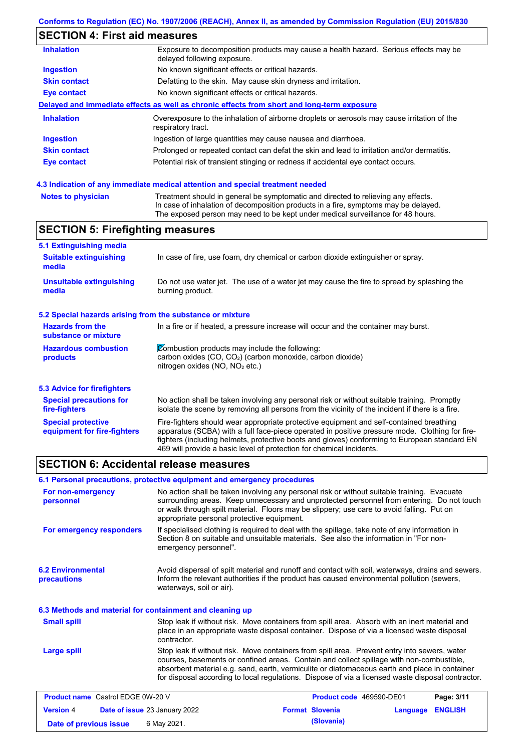# **SECTION 4: First aid measures**

| <b>Inhalation</b>   | Exposure to decomposition products may cause a health hazard. Serious effects may be<br>delayed following exposure. |  |  |  |  |
|---------------------|---------------------------------------------------------------------------------------------------------------------|--|--|--|--|
| <b>Ingestion</b>    | No known significant effects or critical hazards.                                                                   |  |  |  |  |
| <b>Skin contact</b> | Defatting to the skin. May cause skin dryness and irritation.                                                       |  |  |  |  |
| Eye contact         | No known significant effects or critical hazards.                                                                   |  |  |  |  |
|                     | Delayed and immediate effects as well as chronic effects from short and long-term exposure                          |  |  |  |  |
| <b>Inhalation</b>   | Overexposure to the inhalation of airborne droplets or aerosols may cause irritation of the<br>respiratory tract.   |  |  |  |  |
| <b>Ingestion</b>    | Ingestion of large quantities may cause nausea and diarrhoea.                                                       |  |  |  |  |
| <b>Skin contact</b> | Prolonged or repeated contact can defat the skin and lead to irritation and/or dermatitis.                          |  |  |  |  |
| Eye contact         | Potential risk of transient stinging or redness if accidental eye contact occurs.                                   |  |  |  |  |
|                     |                                                                                                                     |  |  |  |  |

### **4.3 Indication of any immediate medical attention and special treatment needed**

| <b>Notes to physician</b> | Treatment should in general be symptomatic and directed to relieving any effects.   |
|---------------------------|-------------------------------------------------------------------------------------|
|                           | In case of inhalation of decomposition products in a fire, symptoms may be delayed. |
|                           | The exposed person may need to be kept under medical surveillance for 48 hours.     |

# **SECTION 5: Firefighting measures**

| 5.1 Extinguishing media                                                                                                                                                                                |                                                                                                                                                                                                                                                                                                                                                                   |  |  |
|--------------------------------------------------------------------------------------------------------------------------------------------------------------------------------------------------------|-------------------------------------------------------------------------------------------------------------------------------------------------------------------------------------------------------------------------------------------------------------------------------------------------------------------------------------------------------------------|--|--|
| <b>Suitable extinguishing</b><br>media                                                                                                                                                                 | In case of fire, use foam, dry chemical or carbon dioxide extinguisher or spray.                                                                                                                                                                                                                                                                                  |  |  |
| <b>Unsuitable extinguishing</b><br>media                                                                                                                                                               | Do not use water jet. The use of a water jet may cause the fire to spread by splashing the<br>burning product.                                                                                                                                                                                                                                                    |  |  |
| 5.2 Special hazards arising from the substance or mixture                                                                                                                                              |                                                                                                                                                                                                                                                                                                                                                                   |  |  |
| <b>Hazards from the</b><br>In a fire or if heated, a pressure increase will occur and the container may burst.<br>substance or mixture                                                                 |                                                                                                                                                                                                                                                                                                                                                                   |  |  |
| Combustion products may include the following:<br><b>Hazardous combustion</b><br>carbon oxides $(CO, CO2)$ (carbon monoxide, carbon dioxide)<br>products<br>nitrogen oxides (NO, NO <sub>2</sub> etc.) |                                                                                                                                                                                                                                                                                                                                                                   |  |  |
| 5.3 Advice for firefighters                                                                                                                                                                            |                                                                                                                                                                                                                                                                                                                                                                   |  |  |
| <b>Special precautions for</b><br>fire-fighters                                                                                                                                                        | No action shall be taken involving any personal risk or without suitable training. Promptly<br>isolate the scene by removing all persons from the vicinity of the incident if there is a fire.                                                                                                                                                                    |  |  |
| <b>Special protective</b><br>equipment for fire-fighters                                                                                                                                               | Fire-fighters should wear appropriate protective equipment and self-contained breathing<br>apparatus (SCBA) with a full face-piece operated in positive pressure mode. Clothing for fire-<br>fighters (including helmets, protective boots and gloves) conforming to European standard EN<br>469 will provide a basic level of protection for chemical incidents. |  |  |

### **SECTION 6: Accidental release measures**

|                                                          | 6.1 Personal precautions, protective equipment and emergency procedures                                                                                                                                                                                                                                                                                                                        |                                                                                                                                                                                                 |            |  |
|----------------------------------------------------------|------------------------------------------------------------------------------------------------------------------------------------------------------------------------------------------------------------------------------------------------------------------------------------------------------------------------------------------------------------------------------------------------|-------------------------------------------------------------------------------------------------------------------------------------------------------------------------------------------------|------------|--|
| For non-emergency<br>personnel                           | No action shall be taken involving any personal risk or without suitable training. Evacuate<br>surrounding areas. Keep unnecessary and unprotected personnel from entering. Do not touch<br>or walk through spilt material. Floors may be slippery; use care to avoid falling. Put on<br>appropriate personal protective equipment.                                                            |                                                                                                                                                                                                 |            |  |
| For emergency responders                                 | If specialised clothing is required to deal with the spillage, take note of any information in<br>Section 8 on suitable and unsuitable materials. See also the information in "For non-<br>emergency personnel".                                                                                                                                                                               |                                                                                                                                                                                                 |            |  |
| <b>6.2 Environmental</b><br>precautions                  | waterways, soil or air).                                                                                                                                                                                                                                                                                                                                                                       | Avoid dispersal of spilt material and runoff and contact with soil, waterways, drains and sewers.<br>Inform the relevant authorities if the product has caused environmental pollution (sewers, |            |  |
| 6.3 Methods and material for containment and cleaning up |                                                                                                                                                                                                                                                                                                                                                                                                |                                                                                                                                                                                                 |            |  |
| <b>Small spill</b>                                       | Stop leak if without risk. Move containers from spill area. Absorb with an inert material and<br>place in an appropriate waste disposal container. Dispose of via a licensed waste disposal<br>contractor.                                                                                                                                                                                     |                                                                                                                                                                                                 |            |  |
| <b>Large spill</b>                                       | Stop leak if without risk. Move containers from spill area. Prevent entry into sewers, water<br>courses, basements or confined areas. Contain and collect spillage with non-combustible,<br>absorbent material e.g. sand, earth, vermiculite or diatomaceous earth and place in container<br>for disposal according to local regulations. Dispose of via a licensed waste disposal contractor. |                                                                                                                                                                                                 |            |  |
| <b>Product name</b> Castrol EDGE 0W-20 V                 |                                                                                                                                                                                                                                                                                                                                                                                                | Product code 469590-DE01                                                                                                                                                                        | Page: 3/11 |  |

| <b>Version 4</b>       | <b>Date of issue 23 January 2022</b> | <b>Format Slovenia</b> | <b>Language ENGLISH</b> |  |
|------------------------|--------------------------------------|------------------------|-------------------------|--|
| Date of previous issue | 6 May 2021.                          | (Slovania)             |                         |  |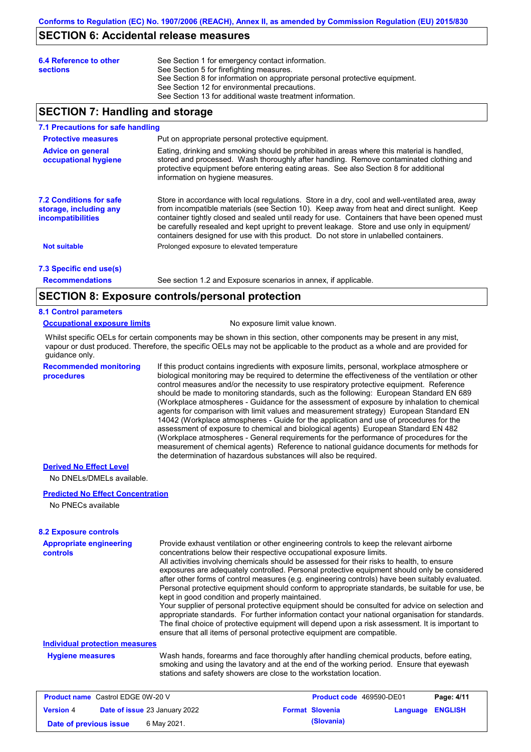### **SECTION 6: Accidental release measures**

| 6.4 Reference to other<br><b>sections</b> | See Section 1 for emergency contact information.<br>See Section 5 for firefighting measures.<br>See Section 8 for information on appropriate personal protective equipment.<br>See Section 12 for environmental precautions. |
|-------------------------------------------|------------------------------------------------------------------------------------------------------------------------------------------------------------------------------------------------------------------------------|
|                                           | See Section 13 for additional waste treatment information.                                                                                                                                                                   |

### **SECTION 7: Handling and storage**

### **7.1 Precautions for safe handling**

| <b>Protective measures</b>                                                           | Put on appropriate personal protective equipment.                                                                                                                                                                                                                                                                                                                                                                                                                                        |  |  |  |  |  |
|--------------------------------------------------------------------------------------|------------------------------------------------------------------------------------------------------------------------------------------------------------------------------------------------------------------------------------------------------------------------------------------------------------------------------------------------------------------------------------------------------------------------------------------------------------------------------------------|--|--|--|--|--|
| <b>Advice on general</b><br>occupational hygiene                                     | Eating, drinking and smoking should be prohibited in areas where this material is handled,<br>stored and processed. Wash thoroughly after handling. Remove contaminated clothing and<br>protective equipment before entering eating areas. See also Section 8 for additional<br>information on hygiene measures.                                                                                                                                                                         |  |  |  |  |  |
| <b>7.2 Conditions for safe</b><br>storage, including any<br><i>incompatibilities</i> | Store in accordance with local requiations. Store in a dry, cool and well-ventilated area, away<br>from incompatible materials (see Section 10). Keep away from heat and direct sunlight. Keep<br>container tightly closed and sealed until ready for use. Containers that have been opened must<br>be carefully resealed and kept upright to prevent leakage. Store and use only in equipment/<br>containers designed for use with this product. Do not store in unlabelled containers. |  |  |  |  |  |
| <b>Not suitable</b>                                                                  | Prolonged exposure to elevated temperature                                                                                                                                                                                                                                                                                                                                                                                                                                               |  |  |  |  |  |
| 7.3 Specific end use(s)                                                              |                                                                                                                                                                                                                                                                                                                                                                                                                                                                                          |  |  |  |  |  |

**Recommendations**

See section 1.2 and Exposure scenarios in annex, if applicable.

### **SECTION 8: Exposure controls/personal protection**

### **8.1 Control parameters**

**Occupational exposure limits** No exposure limit value known.

Whilst specific OELs for certain components may be shown in this section, other components may be present in any mist, vapour or dust produced. Therefore, the specific OELs may not be applicable to the product as a whole and are provided for guidance only.

**Recommended monitoring procedures** If this product contains ingredients with exposure limits, personal, workplace atmosphere or biological monitoring may be required to determine the effectiveness of the ventilation or other control measures and/or the necessity to use respiratory protective equipment. Reference should be made to monitoring standards, such as the following: European Standard EN 689 (Workplace atmospheres - Guidance for the assessment of exposure by inhalation to chemical agents for comparison with limit values and measurement strategy) European Standard EN 14042 (Workplace atmospheres - Guide for the application and use of procedures for the assessment of exposure to chemical and biological agents) European Standard EN 482 (Workplace atmospheres - General requirements for the performance of procedures for the measurement of chemical agents) Reference to national guidance documents for methods for the determination of hazardous substances will also be required.

#### **Derived No Effect Level**

No DNELs/DMELs available.

### **Predicted No Effect Concentration**

No PNECs available

### **8.2 Exposure controls**

| <b>Appropriate engineering</b><br><b>controls</b> | Provide exhaust ventilation or other engineering controls to keep the relevant airborne<br>concentrations below their respective occupational exposure limits.<br>All activities involving chemicals should be assessed for their risks to health, to ensure<br>exposures are adequately controlled. Personal protective equipment should only be considered<br>after other forms of control measures (e.g. engineering controls) have been suitably evaluated.<br>Personal protective equipment should conform to appropriate standards, be suitable for use, be<br>kept in good condition and properly maintained.<br>Your supplier of personal protective equipment should be consulted for advice on selection and<br>appropriate standards. For further information contact your national organisation for standards.<br>The final choice of protective equipment will depend upon a risk assessment. It is important to<br>ensure that all items of personal protective equipment are compatible. |
|---------------------------------------------------|---------------------------------------------------------------------------------------------------------------------------------------------------------------------------------------------------------------------------------------------------------------------------------------------------------------------------------------------------------------------------------------------------------------------------------------------------------------------------------------------------------------------------------------------------------------------------------------------------------------------------------------------------------------------------------------------------------------------------------------------------------------------------------------------------------------------------------------------------------------------------------------------------------------------------------------------------------------------------------------------------------|
| <b>Individual protection measures</b>             |                                                                                                                                                                                                                                                                                                                                                                                                                                                                                                                                                                                                                                                                                                                                                                                                                                                                                                                                                                                                         |
| <b>Hygiene measures</b>                           | Wash hands, forearms and face thoroughly after handling chemical products, before eating,<br>smoking and using the lavatory and at the end of the working period. Ensure that eyewash<br>stations and safety showers are close to the workstation location.                                                                                                                                                                                                                                                                                                                                                                                                                                                                                                                                                                                                                                                                                                                                             |
| <b>Product name</b> Castrol EDGE 0W-20 V          | P <sub>2</sub> na: A/11<br><b>Product code</b> 469590-DE01                                                                                                                                                                                                                                                                                                                                                                                                                                                                                                                                                                                                                                                                                                                                                                                                                                                                                                                                              |

| <b>Product name</b> Castrol EDGE 0W-20 V |                               |  |                        | <b>Product code</b> 469590-DE01 | Page: 4/11 |
|------------------------------------------|-------------------------------|--|------------------------|---------------------------------|------------|
| <b>Version 4</b>                         | Date of issue 23 January 2022 |  | <b>Format Slovenia</b> | Language ENGLISH                |            |
| Date of previous issue                   | 6 May 2021.                   |  | (Slovania)             |                                 |            |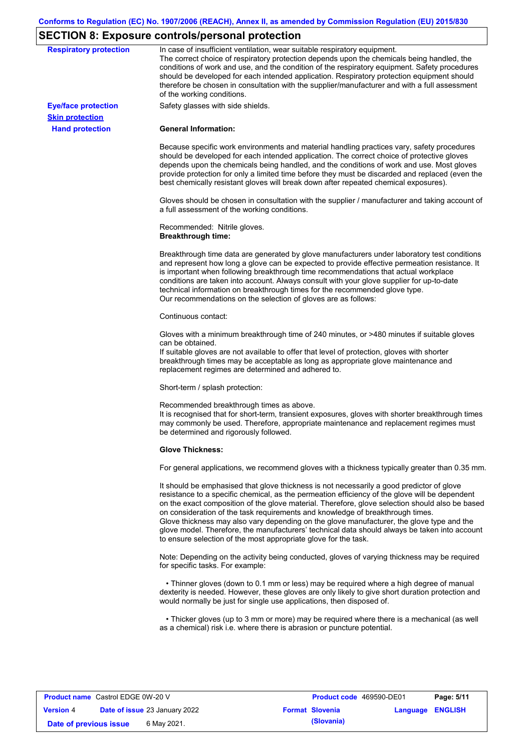# **SECTION 8: Exposure controls/personal protection**

| <b>Respiratory protection</b>                        | In case of insufficient ventilation, wear suitable respiratory equipment.<br>The correct choice of respiratory protection depends upon the chemicals being handled, the<br>conditions of work and use, and the condition of the respiratory equipment. Safety procedures<br>should be developed for each intended application. Respiratory protection equipment should                                                                                                                                                                                                                                                                            |
|------------------------------------------------------|---------------------------------------------------------------------------------------------------------------------------------------------------------------------------------------------------------------------------------------------------------------------------------------------------------------------------------------------------------------------------------------------------------------------------------------------------------------------------------------------------------------------------------------------------------------------------------------------------------------------------------------------------|
|                                                      | therefore be chosen in consultation with the supplier/manufacturer and with a full assessment<br>of the working conditions.                                                                                                                                                                                                                                                                                                                                                                                                                                                                                                                       |
| <b>Eye/face protection</b><br><b>Skin protection</b> | Safety glasses with side shields.                                                                                                                                                                                                                                                                                                                                                                                                                                                                                                                                                                                                                 |
| <b>Hand protection</b>                               | <b>General Information:</b>                                                                                                                                                                                                                                                                                                                                                                                                                                                                                                                                                                                                                       |
|                                                      | Because specific work environments and material handling practices vary, safety procedures<br>should be developed for each intended application. The correct choice of protective gloves<br>depends upon the chemicals being handled, and the conditions of work and use. Most gloves<br>provide protection for only a limited time before they must be discarded and replaced (even the<br>best chemically resistant gloves will break down after repeated chemical exposures).                                                                                                                                                                  |
|                                                      | Gloves should be chosen in consultation with the supplier / manufacturer and taking account of<br>a full assessment of the working conditions.                                                                                                                                                                                                                                                                                                                                                                                                                                                                                                    |
|                                                      | Recommended: Nitrile gloves.<br><b>Breakthrough time:</b>                                                                                                                                                                                                                                                                                                                                                                                                                                                                                                                                                                                         |
|                                                      | Breakthrough time data are generated by glove manufacturers under laboratory test conditions<br>and represent how long a glove can be expected to provide effective permeation resistance. It<br>is important when following breakthrough time recommendations that actual workplace<br>conditions are taken into account. Always consult with your glove supplier for up-to-date<br>technical information on breakthrough times for the recommended glove type.<br>Our recommendations on the selection of gloves are as follows:                                                                                                                |
|                                                      | Continuous contact:                                                                                                                                                                                                                                                                                                                                                                                                                                                                                                                                                                                                                               |
|                                                      | Gloves with a minimum breakthrough time of 240 minutes, or >480 minutes if suitable gloves<br>can be obtained.<br>If suitable gloves are not available to offer that level of protection, gloves with shorter<br>breakthrough times may be acceptable as long as appropriate glove maintenance and<br>replacement regimes are determined and adhered to.                                                                                                                                                                                                                                                                                          |
|                                                      | Short-term / splash protection:                                                                                                                                                                                                                                                                                                                                                                                                                                                                                                                                                                                                                   |
|                                                      | Recommended breakthrough times as above.<br>It is recognised that for short-term, transient exposures, gloves with shorter breakthrough times<br>may commonly be used. Therefore, appropriate maintenance and replacement regimes must<br>be determined and rigorously followed.                                                                                                                                                                                                                                                                                                                                                                  |
|                                                      | <b>Glove Thickness:</b>                                                                                                                                                                                                                                                                                                                                                                                                                                                                                                                                                                                                                           |
|                                                      | For general applications, we recommend gloves with a thickness typically greater than 0.35 mm.                                                                                                                                                                                                                                                                                                                                                                                                                                                                                                                                                    |
|                                                      | It should be emphasised that glove thickness is not necessarily a good predictor of glove<br>resistance to a specific chemical, as the permeation efficiency of the glove will be dependent<br>on the exact composition of the glove material. Therefore, glove selection should also be based<br>on consideration of the task requirements and knowledge of breakthrough times.<br>Glove thickness may also vary depending on the glove manufacturer, the glove type and the<br>glove model. Therefore, the manufacturers' technical data should always be taken into account<br>to ensure selection of the most appropriate glove for the task. |
|                                                      | Note: Depending on the activity being conducted, gloves of varying thickness may be required<br>for specific tasks. For example:                                                                                                                                                                                                                                                                                                                                                                                                                                                                                                                  |
|                                                      | • Thinner gloves (down to 0.1 mm or less) may be required where a high degree of manual<br>dexterity is needed. However, these gloves are only likely to give short duration protection and<br>would normally be just for single use applications, then disposed of.                                                                                                                                                                                                                                                                                                                                                                              |
|                                                      |                                                                                                                                                                                                                                                                                                                                                                                                                                                                                                                                                                                                                                                   |

| <b>Product name</b> Castrol EDGE 0W-20 V |                                      | <b>Product code</b> 469590-DE01 |          | Page: 5/11     |
|------------------------------------------|--------------------------------------|---------------------------------|----------|----------------|
| <b>Version 4</b>                         | <b>Date of issue 23 January 2022</b> | <b>Format Slovenia</b>          | Language | <b>ENGLISH</b> |
| Date of previous issue                   | 6 May 2021.                          | (Slovania)                      |          |                |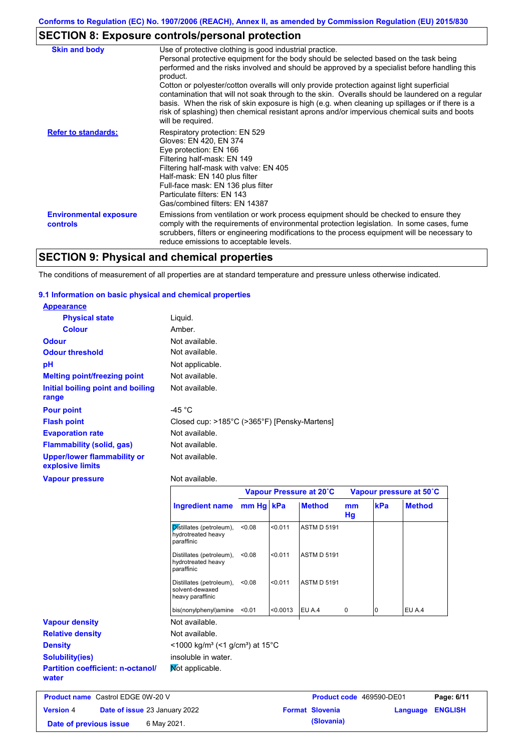# **SECTION 8: Exposure controls/personal protection**

| <b>Skin and body</b>                             | Use of protective clothing is good industrial practice.<br>Personal protective equipment for the body should be selected based on the task being<br>performed and the risks involved and should be approved by a specialist before handling this<br>product.<br>Cotton or polyester/cotton overalls will only provide protection against light superficial<br>contamination that will not soak through to the skin. Overalls should be laundered on a regular<br>basis. When the risk of skin exposure is high (e.g. when cleaning up spillages or if there is a<br>risk of splashing) then chemical resistant aprons and/or impervious chemical suits and boots<br>will be required. |
|--------------------------------------------------|---------------------------------------------------------------------------------------------------------------------------------------------------------------------------------------------------------------------------------------------------------------------------------------------------------------------------------------------------------------------------------------------------------------------------------------------------------------------------------------------------------------------------------------------------------------------------------------------------------------------------------------------------------------------------------------|
| <b>Refer to standards:</b>                       | Respiratory protection: EN 529<br>Gloves: EN 420, EN 374<br>Eye protection: EN 166<br>Filtering half-mask: EN 149<br>Filtering half-mask with valve: EN 405<br>Half-mask: EN 140 plus filter<br>Full-face mask: EN 136 plus filter<br>Particulate filters: EN 143<br>Gas/combined filters: EN 14387                                                                                                                                                                                                                                                                                                                                                                                   |
| <b>Environmental exposure</b><br><b>controls</b> | Emissions from ventilation or work process equipment should be checked to ensure they<br>comply with the requirements of environmental protection legislation. In some cases, fume<br>scrubbers, filters or engineering modifications to the process equipment will be necessary to<br>reduce emissions to acceptable levels.                                                                                                                                                                                                                                                                                                                                                         |

# **SECTION 9: Physical and chemical properties**

The conditions of measurement of all properties are at standard temperature and pressure unless otherwise indicated.

### **9.1 Information on basic physical and chemical properties**

| <b>Appearance</b>                                      |                                              |
|--------------------------------------------------------|----------------------------------------------|
| <b>Physical state</b>                                  | Liquid.                                      |
| <b>Colour</b>                                          | Amber.                                       |
| <b>Odour</b>                                           | Not available.                               |
| <b>Odour threshold</b>                                 | Not available.                               |
| pH                                                     | Not applicable.                              |
| <b>Melting point/freezing point</b>                    | Not available.                               |
| Initial boiling point and boiling<br>range             | Not available.                               |
| <b>Pour point</b>                                      | -45 °C                                       |
| <b>Flash point</b>                                     | Closed cup: >185°C (>365°F) [Pensky-Martens] |
| <b>Evaporation rate</b>                                | Not available.                               |
| <b>Flammability (solid, gas)</b>                       | Not available.                               |
| <b>Upper/lower flammability or</b><br>explosive limits | Not available.                               |
| <b>Vapour pressure</b>                                 | Not available.                               |
|                                                        | Vapour Pressure at 20°C                      |
|                                                        | $\blacksquare$                               |

|                                                   |                                                                 |           | Vapour Pressure at 20°C |                                 |          | Vapour pressure at 50°C |                         |  |
|---------------------------------------------------|-----------------------------------------------------------------|-----------|-------------------------|---------------------------------|----------|-------------------------|-------------------------|--|
|                                                   | <b>Ingredient name</b>                                          | mm Hg kPa |                         | <b>Method</b>                   | mm<br>Hg | kPa                     | <b>Method</b>           |  |
|                                                   | Distillates (petroleum),<br>hydrotreated heavy<br>paraffinic    | < 0.08    | < 0.011                 | <b>ASTM D 5191</b>              |          |                         |                         |  |
|                                                   | Distillates (petroleum),<br>hydrotreated heavy<br>paraffinic    | < 0.08    | < 0.011                 | <b>ASTM D 5191</b>              |          |                         |                         |  |
|                                                   | Distillates (petroleum),<br>solvent-dewaxed<br>heavy paraffinic | < 0.08    | < 0.011                 | <b>ASTM D 5191</b>              |          |                         |                         |  |
|                                                   | bis(nonylphenyl)amine                                           | < 0.01    | < 0.0013                | EU A.4                          | 0        | 10                      | EU A.4                  |  |
| <b>Vapour density</b>                             | Not available.                                                  |           |                         |                                 |          |                         |                         |  |
| <b>Relative density</b>                           | Not available.                                                  |           |                         |                                 |          |                         |                         |  |
| <b>Density</b>                                    | <1000 kg/m <sup>3</sup> (<1 g/cm <sup>3</sup> ) at 15°C         |           |                         |                                 |          |                         |                         |  |
| Solubility(ies)                                   | insoluble in water.                                             |           |                         |                                 |          |                         |                         |  |
| <b>Partition coefficient: n-octanol/</b><br>water | Mot applicable.                                                 |           |                         |                                 |          |                         |                         |  |
| <b>Product name</b> Castrol EDGE 0W-20 V          |                                                                 |           |                         | <b>Product code</b> 469590-DE01 |          |                         | P <sub>2</sub> na: 6/1' |  |

| <b>Product name</b> Castrol EDGE 0W-20 V |                                      | Product code 469590-DE01 |                         | Page: 6/11 |
|------------------------------------------|--------------------------------------|--------------------------|-------------------------|------------|
| <b>Version 4</b>                         | <b>Date of issue 23 January 2022</b> | <b>Format Slovenia</b>   | <b>Language ENGLISH</b> |            |
| Date of previous issue                   | 6 May 2021.                          | (Slovania)               |                         |            |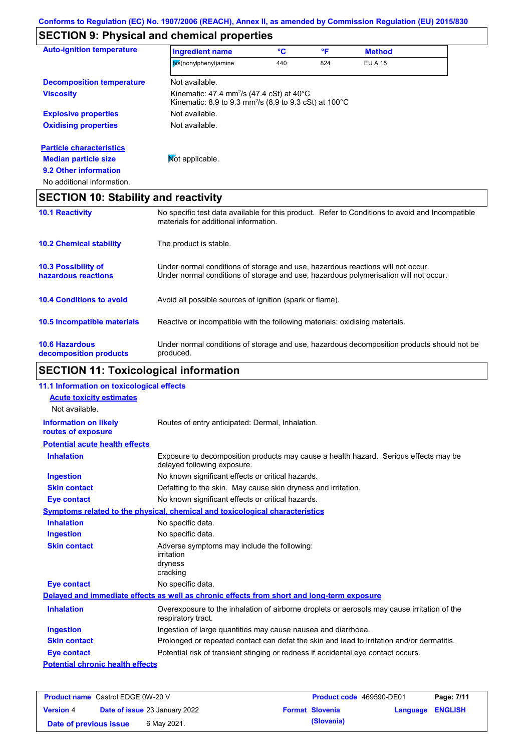# **SECTION 9: Physical and chemical properties**

| <b>Auto-ignition temperature</b>                | <b>Ingredient name</b>                                                                                                                                                  | °C  | °F  | <b>Method</b>  |  |
|-------------------------------------------------|-------------------------------------------------------------------------------------------------------------------------------------------------------------------------|-----|-----|----------------|--|
|                                                 | bis(nonylphenyl)amine                                                                                                                                                   | 440 | 824 | <b>EU A.15</b> |  |
| <b>Decomposition temperature</b>                | Not available.                                                                                                                                                          |     |     |                |  |
| <b>Viscosity</b>                                | Kinematic: 47.4 mm <sup>2</sup> /s (47.4 cSt) at 40 $^{\circ}$ C<br>Kinematic: 8.9 to 9.3 mm <sup>2</sup> /s (8.9 to 9.3 cSt) at $100^{\circ}$ C                        |     |     |                |  |
| <b>Explosive properties</b>                     | Not available.                                                                                                                                                          |     |     |                |  |
| <b>Oxidising properties</b>                     | Not available.                                                                                                                                                          |     |     |                |  |
| <b>Particle characteristics</b>                 |                                                                                                                                                                         |     |     |                |  |
| <b>Median particle size</b>                     | Mot applicable.                                                                                                                                                         |     |     |                |  |
| 9.2 Other information                           |                                                                                                                                                                         |     |     |                |  |
| No additional information.                      |                                                                                                                                                                         |     |     |                |  |
| <b>SECTION 10: Stability and reactivity</b>     |                                                                                                                                                                         |     |     |                |  |
| <b>10.1 Reactivity</b>                          | No specific test data available for this product. Refer to Conditions to avoid and Incompatible<br>materials for additional information.                                |     |     |                |  |
| <b>10.2 Chemical stability</b>                  | The product is stable.                                                                                                                                                  |     |     |                |  |
| 10.3 Possibility of<br>hazardous reactions      | Under normal conditions of storage and use, hazardous reactions will not occur.<br>Under normal conditions of storage and use, hazardous polymerisation will not occur. |     |     |                |  |
| <b>10.4 Conditions to avoid</b>                 | Avoid all possible sources of ignition (spark or flame).                                                                                                                |     |     |                |  |
| 10.5 Incompatible materials                     | Reactive or incompatible with the following materials: oxidising materials.                                                                                             |     |     |                |  |
| <b>10.6 Hazardous</b><br>decomposition products | Under normal conditions of storage and use, hazardous decomposition products should not be<br>produced.                                                                 |     |     |                |  |

# **SECTION 11: Toxicological information**

| 11.1 Information on toxicological effects          |                                                                                                                     |
|----------------------------------------------------|---------------------------------------------------------------------------------------------------------------------|
| <b>Acute toxicity estimates</b>                    |                                                                                                                     |
| Not available.                                     |                                                                                                                     |
| <b>Information on likely</b><br>routes of exposure | Routes of entry anticipated: Dermal, Inhalation.                                                                    |
| <b>Potential acute health effects</b>              |                                                                                                                     |
| <b>Inhalation</b>                                  | Exposure to decomposition products may cause a health hazard. Serious effects may be<br>delayed following exposure. |
| <b>Ingestion</b>                                   | No known significant effects or critical hazards.                                                                   |
| <b>Skin contact</b>                                | Defatting to the skin. May cause skin dryness and irritation.                                                       |
| Eye contact                                        | No known significant effects or critical hazards.                                                                   |
|                                                    | Symptoms related to the physical, chemical and toxicological characteristics                                        |
| <b>Inhalation</b>                                  | No specific data.                                                                                                   |
| <b>Ingestion</b>                                   | No specific data.                                                                                                   |
| <b>Skin contact</b>                                | Adverse symptoms may include the following:<br>irritation<br>dryness<br>cracking                                    |
| <b>Eye contact</b>                                 | No specific data.                                                                                                   |
|                                                    | Delayed and immediate effects as well as chronic effects from short and long-term exposure                          |
| <b>Inhalation</b>                                  | Overexposure to the inhalation of airborne droplets or aerosols may cause irritation of the<br>respiratory tract.   |
| <b>Ingestion</b>                                   | Ingestion of large quantities may cause nausea and diarrhoea.                                                       |
| <b>Skin contact</b>                                | Prolonged or repeated contact can defat the skin and lead to irritation and/or dermatitis.                          |
| <b>Eye contact</b>                                 | Potential risk of transient stinging or redness if accidental eye contact occurs.                                   |
| <b>Potential chronic health effects</b>            |                                                                                                                     |
|                                                    |                                                                                                                     |

| <b>Product name</b> Castrol EDGE 0W-20 V |  |                                      | <b>Product code</b> 469590-DE01 |                        | Page: 7/11       |  |
|------------------------------------------|--|--------------------------------------|---------------------------------|------------------------|------------------|--|
| <b>Version 4</b>                         |  | <b>Date of issue 23 January 2022</b> |                                 | <b>Format Slovenia</b> | Language ENGLISH |  |
| Date of previous issue                   |  | 6 May 2021.                          |                                 | (Slovania)             |                  |  |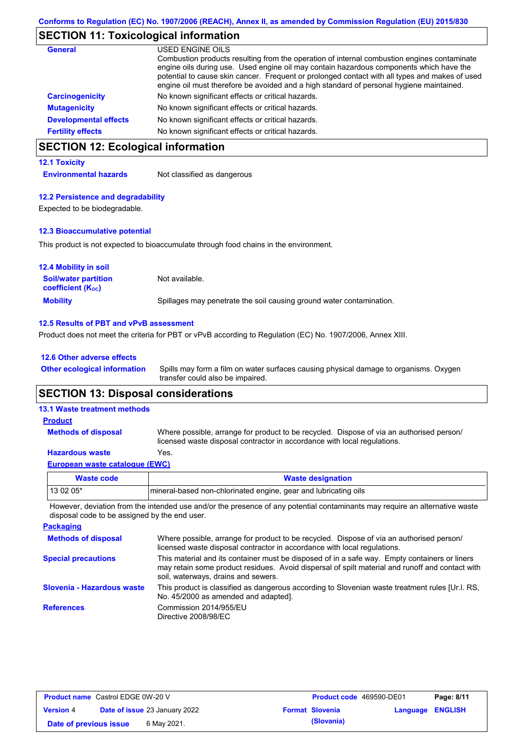# **SECTION 11: Toxicological information**

| <b>General</b>               | USED ENGINE OILS<br>Combustion products resulting from the operation of internal combustion engines contaminate<br>engine oils during use. Used engine oil may contain hazardous components which have the<br>potential to cause skin cancer. Frequent or prolonged contact with all types and makes of used<br>engine oil must therefore be avoided and a high standard of personal hygiene maintained. |
|------------------------------|----------------------------------------------------------------------------------------------------------------------------------------------------------------------------------------------------------------------------------------------------------------------------------------------------------------------------------------------------------------------------------------------------------|
| <b>Carcinogenicity</b>       | No known significant effects or critical hazards.                                                                                                                                                                                                                                                                                                                                                        |
| <b>Mutagenicity</b>          | No known significant effects or critical hazards.                                                                                                                                                                                                                                                                                                                                                        |
| <b>Developmental effects</b> | No known significant effects or critical hazards.                                                                                                                                                                                                                                                                                                                                                        |
| <b>Fertility effects</b>     | No known significant effects or critical hazards.                                                                                                                                                                                                                                                                                                                                                        |

# **SECTION 12: Ecological information**

### **12.1 Toxicity**

**Environmental hazards** Not classified as dangerous

### **12.2 Persistence and degradability**

Expected to be biodegradable.

### **12.3 Bioaccumulative potential**

This product is not expected to bioaccumulate through food chains in the environment.

| <b>12.4 Mobility in soil</b>                                  |                                                                      |
|---------------------------------------------------------------|----------------------------------------------------------------------|
| <b>Soil/water partition</b><br>coefficient (K <sub>oc</sub> ) | Not available.                                                       |
| <b>Mobility</b>                                               | Spillages may penetrate the soil causing ground water contamination. |

### **12.5 Results of PBT and vPvB assessment**

Product does not meet the criteria for PBT or vPvB according to Regulation (EC) No. 1907/2006, Annex XIII.

### **12.6 Other adverse effects**

**Other ecological information**

Spills may form a film on water surfaces causing physical damage to organisms. Oxygen transfer could also be impaired.

### **SECTION 13: Disposal considerations**

### **13.1 Waste treatment methods**

**Methods of disposal**

### **Product**

Where possible, arrange for product to be recycled. Dispose of via an authorised person/ licensed waste disposal contractor in accordance with local regulations.

### **Hazardous waste** Yes.

| European waste catalogue (EWC) |  |
|--------------------------------|--|
|--------------------------------|--|

| Waste code | <b>Waste designation</b>                                         |
|------------|------------------------------------------------------------------|
| 13 02 05*  | Imineral-based non-chlorinated engine, gear and lubricating oils |
|            |                                                                  |

However, deviation from the intended use and/or the presence of any potential contaminants may require an alternative waste disposal code to be assigned by the end user.

| <b>Packaging</b>           |                                                                                                                                                                                                                                         |
|----------------------------|-----------------------------------------------------------------------------------------------------------------------------------------------------------------------------------------------------------------------------------------|
| <b>Methods of disposal</b> | Where possible, arrange for product to be recycled. Dispose of via an authorised person/<br>licensed waste disposal contractor in accordance with local regulations.                                                                    |
| <b>Special precautions</b> | This material and its container must be disposed of in a safe way. Empty containers or liners<br>may retain some product residues. Avoid dispersal of spilt material and runoff and contact with<br>soil, waterways, drains and sewers. |
| Slovenia - Hazardous waste | This product is classified as dangerous according to Slovenian waste treatment rules [Ur.l. RS,<br>No. 45/2000 as amended and adapted].                                                                                                 |
| <b>References</b>          | Commission 2014/955/EU<br>Directive 2008/98/EC                                                                                                                                                                                          |

| <b>Product name</b> Castrol EDGE 0W-20 V |  |                                      | <b>Product code</b> 469590-DE01 |                        | Page: 8/11              |  |
|------------------------------------------|--|--------------------------------------|---------------------------------|------------------------|-------------------------|--|
| <b>Version 4</b>                         |  | <b>Date of issue 23 January 2022</b> |                                 | <b>Format Slovenia</b> | <b>Language ENGLISH</b> |  |
| Date of previous issue                   |  | 6 May 2021.                          |                                 | (Slovania)             |                         |  |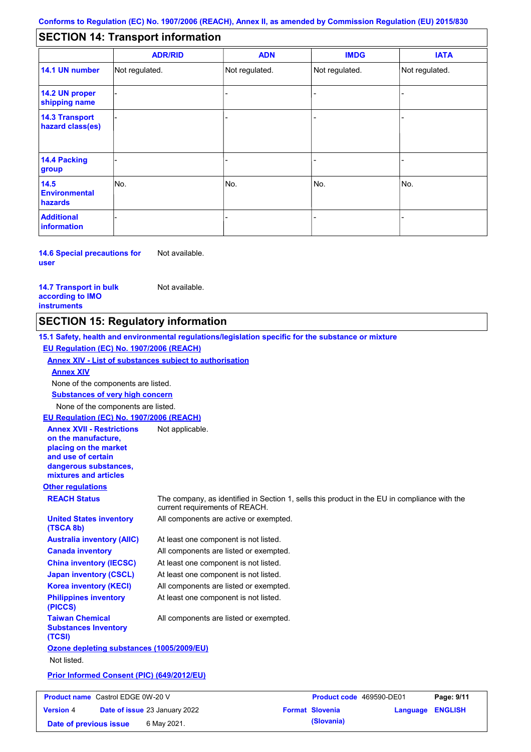#### - - - - - - - - - Not regulated. Not regulated. Not regulated. - - - **SECTION 14: Transport information ADR/RID IMDG IATA 14.1 UN number 14.2 UN proper shipping name 14.3 Transport hazard class(es) 14.4 Packing group ADN Additional information 14.5 Environmental hazards** No. 1980 | No. 1980 | No. 1980 | No. 1980 | No. 1980 | No. 1980 | No. 1980 | No. 1980 | No. 1980 | No. 1980 | Not regulated. - -<br>No. - -

**14.6 Special precautions for user** Not available.

### **14.7 Transport in bulk according to IMO instruments**

Not available.

**Version** 4

### **SECTION 15: Regulatory information**

**Other regulations REACH Status** The company, as identified in Section 1, sells this product in the EU in compliance with the current requirements of REACH. **15.1 Safety, health and environmental regulations/legislation specific for the substance or mixture EU Regulation (EC) No. 1907/2006 (REACH) Annex XIV - List of substances subject to authorisation Substances of very high concern** None of the components are listed. At least one component is not listed. All components are listed or exempted. At least one component is not listed. At least one component is not listed. All components are active or exempted. All components are listed or exempted. At least one component is not listed. **United States inventory (TSCA 8b) Australia inventory (AIIC) Canada inventory China inventory (IECSC) Japan inventory (CSCL) Korea inventory (KECI) Philippines inventory (PICCS) Taiwan Chemical Substances Inventory (TCSI)** All components are listed or exempted. **Ozone depleting substances (1005/2009/EU)** Not listed. **Prior Informed Consent (PIC) (649/2012/EU)** None of the components are listed. **Annex XIV EU Regulation (EC) No. 1907/2006 (REACH) Annex XVII - Restrictions on the manufacture, placing on the market and use of certain dangerous substances, mixtures and articles** Not applicable. **Product name** Castrol EDGE 0W-20 V **Product code** 469590-DE01 **Page: 9/11** 

**Date of issue** 23 January 2022 **Format Slovenia Language ENGLISH Date of previous issue** 6 May 2021.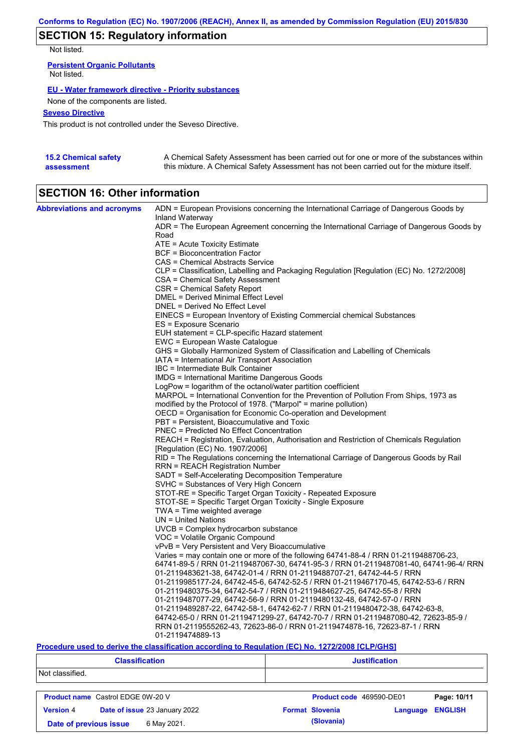# **SECTION 15: Regulatory information**

Not listed.

**Persistent Organic Pollutants** Not listed.

### **EU - Water framework directive - Priority substances**

None of the components are listed.

### **Seveso Directive**

This product is not controlled under the Seveso Directive.

| <b>15.2 Chemical safety</b> | A Chemical Safety Assessment has been carried out for one or more of the substances within  |
|-----------------------------|---------------------------------------------------------------------------------------------|
| assessment                  | this mixture. A Chemical Safety Assessment has not been carried out for the mixture itself. |

# **SECTION 16: Other information**

| <b>Abbreviations and acronyms</b> | ADN = European Provisions concerning the International Carriage of Dangerous Goods by    |
|-----------------------------------|------------------------------------------------------------------------------------------|
|                                   | Inland Waterway                                                                          |
|                                   | ADR = The European Agreement concerning the International Carriage of Dangerous Goods by |
|                                   | Road                                                                                     |
|                                   | ATE = Acute Toxicity Estimate                                                            |
|                                   | BCF = Bioconcentration Factor                                                            |
|                                   | CAS = Chemical Abstracts Service                                                         |
|                                   | CLP = Classification, Labelling and Packaging Regulation [Regulation (EC) No. 1272/2008] |
|                                   | <b>CSA = Chemical Safety Assessment</b>                                                  |
|                                   | CSR = Chemical Safety Report                                                             |
|                                   | <b>DMEL = Derived Minimal Effect Level</b>                                               |
|                                   | DNEL = Derived No Effect Level                                                           |
|                                   | EINECS = European Inventory of Existing Commercial chemical Substances                   |
|                                   | ES = Exposure Scenario                                                                   |
|                                   | EUH statement = CLP-specific Hazard statement                                            |
|                                   | EWC = European Waste Catalogue                                                           |
|                                   | GHS = Globally Harmonized System of Classification and Labelling of Chemicals            |
|                                   | IATA = International Air Transport Association                                           |
|                                   | IBC = Intermediate Bulk Container                                                        |
|                                   | IMDG = International Maritime Dangerous Goods                                            |
|                                   | LogPow = logarithm of the octanol/water partition coefficient                            |
|                                   | MARPOL = International Convention for the Prevention of Pollution From Ships, 1973 as    |
|                                   | modified by the Protocol of 1978. ("Marpol" = marine pollution)                          |
|                                   | OECD = Organisation for Economic Co-operation and Development                            |
|                                   | PBT = Persistent, Bioaccumulative and Toxic                                              |
|                                   | PNEC = Predicted No Effect Concentration                                                 |
|                                   | REACH = Registration, Evaluation, Authorisation and Restriction of Chemicals Regulation  |
|                                   | [Regulation (EC) No. 1907/2006]                                                          |
|                                   | RID = The Regulations concerning the International Carriage of Dangerous Goods by Rail   |
|                                   | RRN = REACH Registration Number                                                          |
|                                   | SADT = Self-Accelerating Decomposition Temperature                                       |
|                                   | SVHC = Substances of Very High Concern                                                   |
|                                   | STOT-RE = Specific Target Organ Toxicity - Repeated Exposure                             |
|                                   | STOT-SE = Specific Target Organ Toxicity - Single Exposure                               |
|                                   | $TWA = Time$ weighted average                                                            |
|                                   | $UN = United Nations$                                                                    |
|                                   | UVCB = Complex hydrocarbon substance                                                     |
|                                   | VOC = Volatile Organic Compound                                                          |
|                                   | vPvB = Very Persistent and Very Bioaccumulative                                          |
|                                   | Varies = may contain one or more of the following 64741-88-4 / RRN 01-2119488706-23,     |
|                                   | 64741-89-5 / RRN 01-2119487067-30, 64741-95-3 / RRN 01-2119487081-40, 64741-96-4/ RRN    |
|                                   | 01-2119483621-38, 64742-01-4 / RRN 01-2119488707-21, 64742-44-5 / RRN                    |
|                                   | 01-2119985177-24, 64742-45-6, 64742-52-5 / RRN 01-2119467170-45, 64742-53-6 / RRN        |
|                                   | 01-2119480375-34, 64742-54-7 / RRN 01-2119484627-25, 64742-55-8 / RRN                    |
|                                   | 01-2119487077-29, 64742-56-9 / RRN 01-2119480132-48, 64742-57-0 / RRN                    |
|                                   | 01-2119489287-22, 64742-58-1, 64742-62-7 / RRN 01-2119480472-38, 64742-63-8,             |
|                                   | 64742-65-0 / RRN 01-2119471299-27, 64742-70-7 / RRN 01-2119487080-42, 72623-85-9 /       |
|                                   | RRN 01-2119555262-43, 72623-86-0 / RRN 01-2119474878-16, 72623-87-1 / RRN                |
|                                   | 01-2119474889-13                                                                         |

### **Procedure used to derive the classification according to Regulation (EC) No. 1272/2008 [CLP/GHS]**

| <b>Classification</b>                             |                                          | <b>Justification</b>     |                         |             |  |
|---------------------------------------------------|------------------------------------------|--------------------------|-------------------------|-------------|--|
| Not classified.                                   |                                          |                          |                         |             |  |
|                                                   | <b>Product name</b> Castrol EDGE 0W-20 V | Product code 469590-DE01 |                         | Page: 10/11 |  |
| Date of issue 23 January 2022<br><b>Version 4</b> |                                          | <b>Format Slovenia</b>   | <b>Language ENGLISH</b> |             |  |
|                                                   | 6 May 2021.<br>Date of previous issue    | (Slovania)               |                         |             |  |